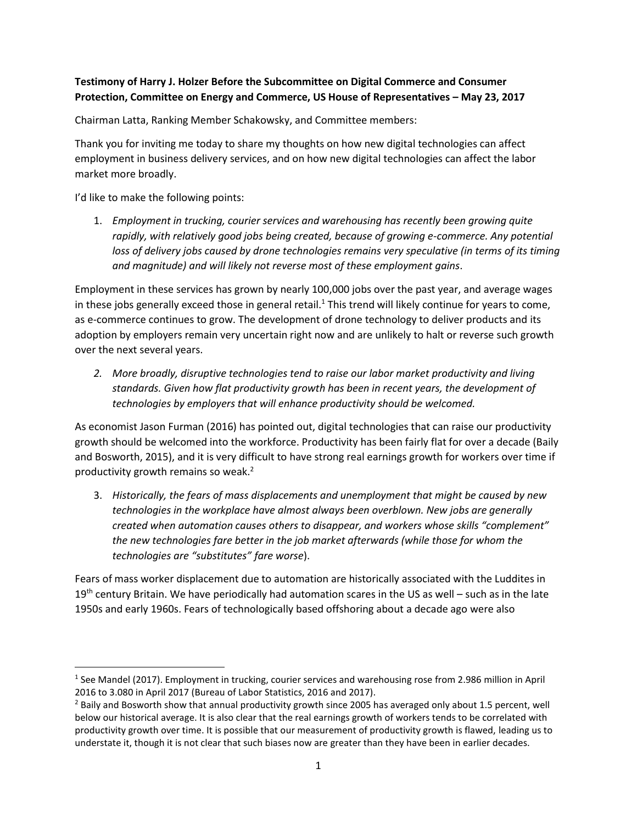## **Testimony of Harry J. Holzer Before the Subcommittee on Digital Commerce and Consumer Protection, Committee on Energy and Commerce, US House of Representatives – May 23, 2017**

Chairman Latta, Ranking Member Schakowsky, and Committee members:

Thank you for inviting me today to share my thoughts on how new digital technologies can affect employment in business delivery services, and on how new digital technologies can affect the labor market more broadly.

I'd like to make the following points:

 $\overline{a}$ 

1. *Employment in trucking, courier services and warehousing has recently been growing quite rapidly, with relatively good jobs being created, because of growing e-commerce. Any potential loss of delivery jobs caused by drone technologies remains very speculative (in terms of its timing and magnitude) and will likely not reverse most of these employment gains*.

Employment in these services has grown by nearly 100,000 jobs over the past year, and average wages in these jobs generally exceed those in general retail.<sup>1</sup> This trend will likely continue for years to come, as e-commerce continues to grow. The development of drone technology to deliver products and its adoption by employers remain very uncertain right now and are unlikely to halt or reverse such growth over the next several years.

*2. More broadly, disruptive technologies tend to raise our labor market productivity and living standards. Given how flat productivity growth has been in recent years, the development of technologies by employers that will enhance productivity should be welcomed.*

As economist Jason Furman (2016) has pointed out, digital technologies that can raise our productivity growth should be welcomed into the workforce. Productivity has been fairly flat for over a decade (Baily and Bosworth, 2015), and it is very difficult to have strong real earnings growth for workers over time if productivity growth remains so weak.<sup>2</sup>

3. *Historically, the fears of mass displacements and unemployment that might be caused by new technologies in the workplace have almost always been overblown. New jobs are generally created when automation causes others to disappear, and workers whose skills "complement" the new technologies fare better in the job market afterwards (while those for whom the technologies are "substitutes" fare worse*).

Fears of mass worker displacement due to automation are historically associated with the Luddites in  $19<sup>th</sup>$  century Britain. We have periodically had automation scares in the US as well – such as in the late 1950s and early 1960s. Fears of technologically based offshoring about a decade ago were also

<sup>&</sup>lt;sup>1</sup> See Mandel (2017). Employment in trucking, courier services and warehousing rose from 2.986 million in April 2016 to 3.080 in April 2017 (Bureau of Labor Statistics, 2016 and 2017).

<sup>&</sup>lt;sup>2</sup> Baily and Bosworth show that annual productivity growth since 2005 has averaged only about 1.5 percent, well below our historical average. It is also clear that the real earnings growth of workers tends to be correlated with productivity growth over time. It is possible that our measurement of productivity growth is flawed, leading us to understate it, though it is not clear that such biases now are greater than they have been in earlier decades.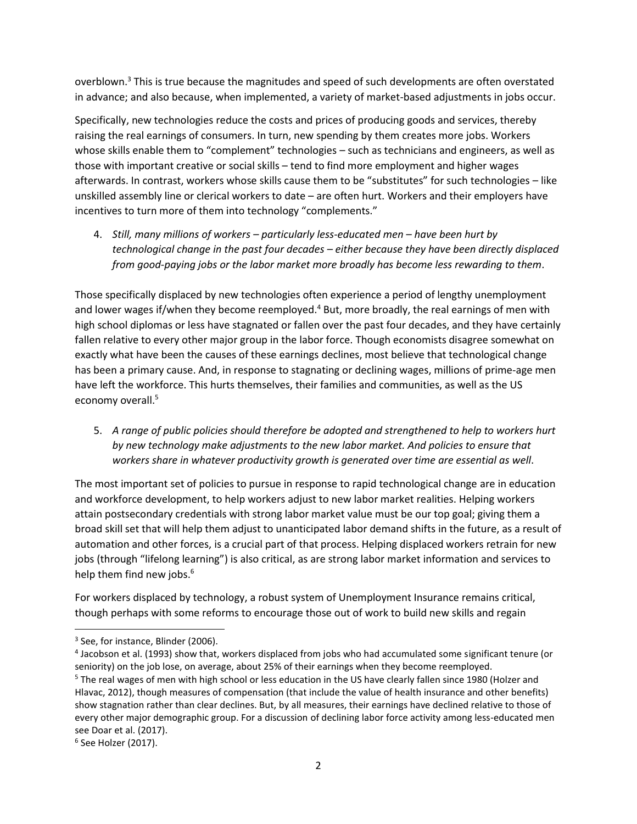overblown. $3$  This is true because the magnitudes and speed of such developments are often overstated in advance; and also because, when implemented, a variety of market-based adjustments in jobs occur.

Specifically, new technologies reduce the costs and prices of producing goods and services, thereby raising the real earnings of consumers. In turn, new spending by them creates more jobs. Workers whose skills enable them to "complement" technologies – such as technicians and engineers, as well as those with important creative or social skills – tend to find more employment and higher wages afterwards. In contrast, workers whose skills cause them to be "substitutes" for such technologies – like unskilled assembly line or clerical workers to date – are often hurt. Workers and their employers have incentives to turn more of them into technology "complements."

4. *Still, many millions of workers – particularly less-educated men – have been hurt by technological change in the past four decades – either because they have been directly displaced from good-paying jobs or the labor market more broadly has become less rewarding to them*.

Those specifically displaced by new technologies often experience a period of lengthy unemployment and lower wages if/when they become reemployed.<sup>4</sup> But, more broadly, the real earnings of men with high school diplomas or less have stagnated or fallen over the past four decades, and they have certainly fallen relative to every other major group in the labor force. Though economists disagree somewhat on exactly what have been the causes of these earnings declines, most believe that technological change has been a primary cause. And, in response to stagnating or declining wages, millions of prime-age men have left the workforce. This hurts themselves, their families and communities, as well as the US economy overall.<sup>5</sup>

5. *A range of public policies should therefore be adopted and strengthened to help to workers hurt by new technology make adjustments to the new labor market. And policies to ensure that workers share in whatever productivity growth is generated over time are essential as well*.

The most important set of policies to pursue in response to rapid technological change are in education and workforce development, to help workers adjust to new labor market realities. Helping workers attain postsecondary credentials with strong labor market value must be our top goal; giving them a broad skill set that will help them adjust to unanticipated labor demand shifts in the future, as a result of automation and other forces, is a crucial part of that process. Helping displaced workers retrain for new jobs (through "lifelong learning") is also critical, as are strong labor market information and services to help them find new jobs.<sup>6</sup>

For workers displaced by technology, a robust system of Unemployment Insurance remains critical, though perhaps with some reforms to encourage those out of work to build new skills and regain

 $\overline{\phantom{a}}$ 

<sup>&</sup>lt;sup>3</sup> See, for instance, Blinder (2006).

<sup>4</sup> Jacobson et al. (1993) show that, workers displaced from jobs who had accumulated some significant tenure (or seniority) on the job lose, on average, about 25% of their earnings when they become reemployed.

<sup>&</sup>lt;sup>5</sup> The real wages of men with high school or less education in the US have clearly fallen since 1980 (Holzer and Hlavac, 2012), though measures of compensation (that include the value of health insurance and other benefits) show stagnation rather than clear declines. But, by all measures, their earnings have declined relative to those of every other major demographic group. For a discussion of declining labor force activity among less-educated men see Doar et al. (2017).

<sup>6</sup> See Holzer (2017).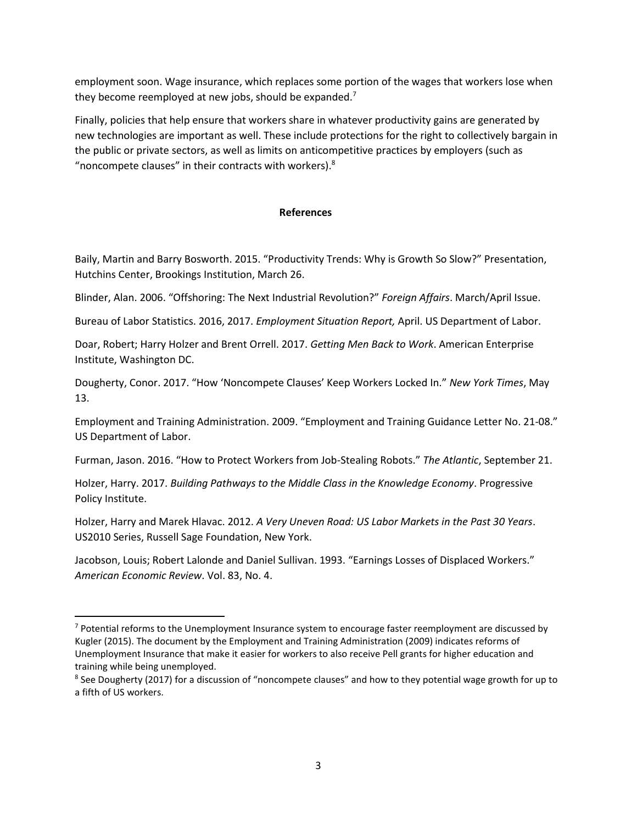employment soon. Wage insurance, which replaces some portion of the wages that workers lose when they become reemployed at new jobs, should be expanded.<sup>7</sup>

Finally, policies that help ensure that workers share in whatever productivity gains are generated by new technologies are important as well. These include protections for the right to collectively bargain in the public or private sectors, as well as limits on anticompetitive practices by employers (such as "noncompete clauses" in their contracts with workers). $8$ 

## **References**

Baily, Martin and Barry Bosworth. 2015. "Productivity Trends: Why is Growth So Slow?" Presentation, Hutchins Center, Brookings Institution, March 26.

Blinder, Alan. 2006. "Offshoring: The Next Industrial Revolution?" *Foreign Affairs*. March/April Issue.

Bureau of Labor Statistics. 2016, 2017. *Employment Situation Report,* April. US Department of Labor.

Doar, Robert; Harry Holzer and Brent Orrell. 2017. *Getting Men Back to Work*. American Enterprise Institute, Washington DC.

Dougherty, Conor. 2017. "How 'Noncompete Clauses' Keep Workers Locked In." *New York Times*, May 13.

Employment and Training Administration. 2009. "Employment and Training Guidance Letter No. 21-08." US Department of Labor.

Furman, Jason. 2016. "How to Protect Workers from Job-Stealing Robots." *The Atlantic*, September 21.

Holzer, Harry. 2017. *Building Pathways to the Middle Class in the Knowledge Economy*. Progressive Policy Institute.

Holzer, Harry and Marek Hlavac. 2012. *A Very Uneven Road: US Labor Markets in the Past 30 Years*. US2010 Series, Russell Sage Foundation, New York.

Jacobson, Louis; Robert Lalonde and Daniel Sullivan. 1993. "Earnings Losses of Displaced Workers." *American Economic Review*. Vol. 83, No. 4.

 $\overline{\phantom{a}}$ 

 $7$  Potential reforms to the Unemployment Insurance system to encourage faster reemployment are discussed by Kugler (2015). The document by the Employment and Training Administration (2009) indicates reforms of Unemployment Insurance that make it easier for workers to also receive Pell grants for higher education and training while being unemployed.

<sup>&</sup>lt;sup>8</sup> See Dougherty (2017) for a discussion of "noncompete clauses" and how to they potential wage growth for up to a fifth of US workers.